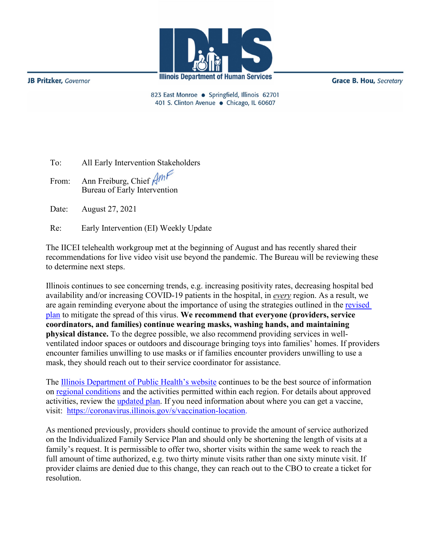**Illinois Department of Human Services** 

**JB Pritzker**, Governor

**Grace B. Hou, Secretary** 

823 East Monroe · Springfield, Illinois 62701 401 S. Clinton Avenue · Chicago, IL 60607

To: All Early Intervention Stakeholders

From: Ann Freiburg, Chief Am Bureau of Early Intervention

Date: August 27, 2021

Re: Early Intervention (EI) Weekly Update

The IICEI telehealth workgroup met at the beginning of August and has recently shared their recommendations for live video visit use beyond the pandemic. The Bureau will be reviewing these to determine next steps.

Illinois continues to see concerning trends, e.g. increasing positivity rates, decreasing hospital bed availability and/or increasing COVID-19 patients in the hospital, in *every* region. As a result, we are again reminding everyone about the importance of using the strategies outlined in the revised [plan](http://www.wiu.edu/coehs/provider_connections/pdf/Revised%20Early%20Intervention%20Plan%20for%20Resuming%20In-Person%20Services-06-23-21.pdf) to mitigate the spread of this virus. **We recommend that everyone (providers, service coordinators, and families) continue wearing masks, washing hands, and maintaining physical distance.** To the degree possible, we also recommend providing services in wellventilated indoor spaces or outdoors and discourage bringing toys into families' homes. If providers encounter families unwilling to use masks or if families encounter providers unwilling to use a mask, they should reach out to their service coordinator for assistance.

The [Illinois Department of Public Health's website](https://www.dph.illinois.gov/covid19) continues to be the best source of information on [regional conditions](https://www.dph.illinois.gov/regionmetrics?regionID=1) and the activities permitted within each region. For details about approved activities, review the **updated plan**. If you need information about where you can get a vaccine, visit: [https://coronavirus.illinois.gov/s/vaccination-location.](https://coronavirus.illinois.gov/s/vaccination-location)

As mentioned previously, providers should continue to provide the amount of service authorized on the Individualized Family Service Plan and should only be shortening the length of visits at a family's request. It is permissible to offer two, shorter visits within the same week to reach the full amount of time authorized, e.g. two thirty minute visits rather than one sixty minute visit. If provider claims are denied due to this change, they can reach out to the CBO to create a ticket for resolution.